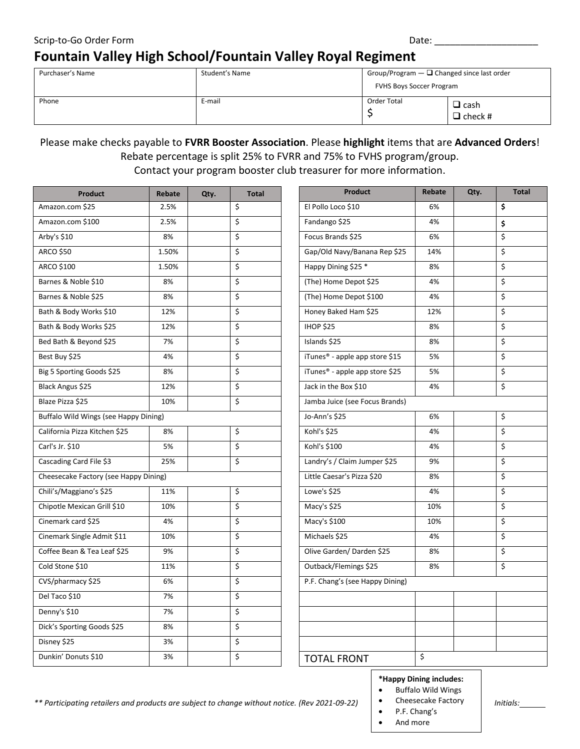## Scrip-to-Go Order Form  $\Box$ **Fountain Valley High School/Fountain Valley Royal Regiment**

| Purchaser's Name | Student's Name | Group/Program $-\square$ Changed since last order<br><b>FVHS Boys Soccer Program</b> |                               |  |
|------------------|----------------|--------------------------------------------------------------------------------------|-------------------------------|--|
| Phone            | E-mail         | Order Total                                                                          | $\Box$ cash<br>$\Box$ check # |  |

## Please make checks payable to **FVRR Booster Association**. Please **highlight** items that are **Advanced Orders**! Rebate percentage is split 25% to FVRR and 75% to FVHS program/group.

Contact your program booster club treasurer for more information.

| <b>Product</b>                        | Rebate | Qty. | <b>Total</b> |
|---------------------------------------|--------|------|--------------|
| Amazon.com \$25                       | 2.5%   |      | \$           |
| Amazon.com \$100                      | 2.5%   |      | \$           |
| Arby's \$10                           | 8%     |      | \$           |
| <b>ARCO \$50</b>                      | 1.50%  |      | \$           |
| ARCO \$100                            | 1.50%  |      | \$           |
| Barnes & Noble \$10                   | 8%     |      | \$           |
| Barnes & Noble \$25                   | 8%     |      | \$           |
| Bath & Body Works \$10                | 12%    |      | \$           |
| Bath & Body Works \$25                | 12%    |      | \$           |
| Bed Bath & Beyond \$25                | 7%     |      | \$           |
| Best Buy \$25                         | 4%     |      | \$           |
| Big 5 Sporting Goods \$25             | 8%     |      | \$           |
| Black Angus \$25                      | 12%    |      | \$           |
| Blaze Pizza \$25                      | 10%    |      | \$           |
| Buffalo Wild Wings (see Happy Dining) |        |      |              |
| California Pizza Kitchen \$25         | 8%     |      | \$           |
| Carl's Jr. \$10                       | 5%     |      | \$           |
| Cascading Card File \$3               | 25%    |      | \$           |
| Cheesecake Factory (see Happy Dining) |        |      |              |
| Chili's/Maggiano's \$25               | 11%    |      | \$           |
| Chipotle Mexican Grill \$10           | 10%    |      | \$           |
| Cinemark card \$25                    | 4%     |      | \$           |
| Cinemark Single Admit \$11            | 10%    |      | \$           |
| Coffee Bean & Tea Leaf \$25           | 9%     |      | \$           |
| Cold Stone \$10                       | 11%    |      | \$           |
| CVS/pharmacy \$25                     | 6%     |      | \$           |
| Del Taco \$10                         | 7%     |      | \$           |
| Denny's \$10                          | 7%     |      | \$           |
| Dick's Sporting Goods \$25            | 8%     |      | \$           |
| Disney \$25                           | 3%     |      | \$           |
| Dunkin' Donuts \$10                   | 3%     |      | \$           |

| <b>Product</b>                  | Rebate | Qty. | <b>Total</b> |  |
|---------------------------------|--------|------|--------------|--|
| El Pollo Loco \$10              | 6%     |      | \$           |  |
| Fandango \$25                   | 4%     |      | \$           |  |
| Focus Brands \$25               | 6%     |      | \$           |  |
| Gap/Old Navy/Banana Rep \$25    | 14%    |      | \$           |  |
| Happy Dining \$25 *             | 8%     |      | \$           |  |
| (The) Home Depot \$25           | 4%     |      | \$           |  |
| (The) Home Depot \$100          | 4%     |      | \$           |  |
| Honey Baked Ham \$25            | 12%    |      | \$           |  |
| <b>IHOP \$25</b>                | 8%     |      | \$           |  |
| Islands \$25                    | 8%     |      | \$           |  |
| iTunes® - apple app store \$15  | 5%     |      | \$           |  |
| iTunes® - apple app store \$25  | 5%     |      | \$           |  |
| Jack in the Box \$10            | 4%     |      | \$           |  |
| Jamba Juice (see Focus Brands)  |        |      |              |  |
| Jo-Ann's \$25                   | 6%     |      | \$           |  |
| Kohl's \$25                     | 4%     |      | \$           |  |
| Kohl's \$100                    | 4%     |      | \$           |  |
| Landry's / Claim Jumper \$25    | 9%     |      | \$           |  |
| Little Caesar's Pizza \$20      | 8%     |      | \$           |  |
| Lowe's \$25                     | 4%     |      | \$           |  |
| Macy's \$25                     | 10%    |      | \$           |  |
| Macy's \$100                    | 10%    |      | \$           |  |
| Michaels \$25                   | 4%     |      | \$           |  |
| Olive Garden/ Darden \$25       | 8%     |      | \$           |  |
| Outback/Flemings \$25           | 8%     |      | \$           |  |
| P.F. Chang's (see Happy Dining) |        |      |              |  |
|                                 |        |      |              |  |
|                                 |        |      |              |  |
|                                 |        |      |              |  |
|                                 |        |      |              |  |
| <b>TOTAL FRONT</b>              | \$     |      |              |  |

## $\begin{array}{c} \n\text{Perp} \\
\text{Perp} \\
\text{Perp} \\
\end{array}$ **\*Happy Dining includes:**

• Buffalo Wild Wings

*\*\* Participating retailers and products are subject to change without notice. (Rev 2021-09-22) Initials:* 8%

- Cheesecake Factory
- P.F. Chang's
- And more